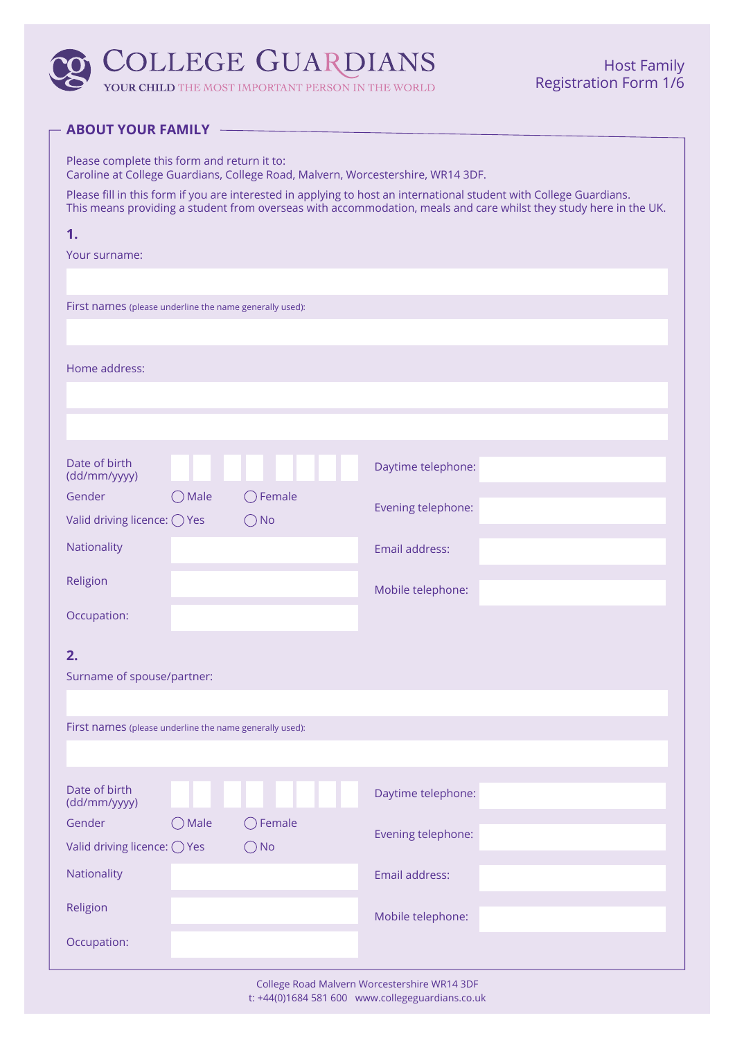

YOUR CHILD THE MOST IMPORTANT PERSON IN THE WORLD

#### **ABOUT YOUR FAMILY -**

Please complete this form and return it to: Caroline at College Guardians, College Road, Malvern, Worcestershire, WR14 3DF.

Please fill in this form if you are interested in applying to host an international student with College Guardians. This means providing a student from overseas with accommodation, meals and care whilst they study here in the UK.

| 1.                                                      |                 |                                    |                    |  |
|---------------------------------------------------------|-----------------|------------------------------------|--------------------|--|
| Your surname:                                           |                 |                                    |                    |  |
|                                                         |                 |                                    |                    |  |
| First names (please underline the name generally used): |                 |                                    |                    |  |
| Home address:                                           |                 |                                    |                    |  |
|                                                         |                 |                                    |                    |  |
| Date of birth<br>(dd/mm/yyyy)                           |                 |                                    | Daytime telephone: |  |
| Gender<br>Valid driving licence: $\bigcirc$ Yes         | $\bigcirc$ Male | $\bigcirc$ Female<br>$\bigcirc$ No | Evening telephone: |  |
| Nationality                                             |                 |                                    | Email address:     |  |
| Religion                                                |                 |                                    | Mobile telephone:  |  |
| Occupation:                                             |                 |                                    |                    |  |
| 2.<br>Surname of spouse/partner:                        |                 |                                    |                    |  |
|                                                         |                 |                                    |                    |  |
| First names (please underline the name generally used): |                 |                                    |                    |  |
|                                                         |                 |                                    |                    |  |
| Date of birth<br>(dd/mm/yyyy)                           |                 |                                    | Daytime telephone: |  |
| Gender                                                  | Male            | $\bigcirc$ Female                  | Evening telephone: |  |
| Valid driving licence: O Yes                            |                 | $\bigcirc$ No                      |                    |  |
| Nationality                                             |                 |                                    | Email address:     |  |
| Religion                                                |                 |                                    | Mobile telephone:  |  |
| Occupation:                                             |                 |                                    |                    |  |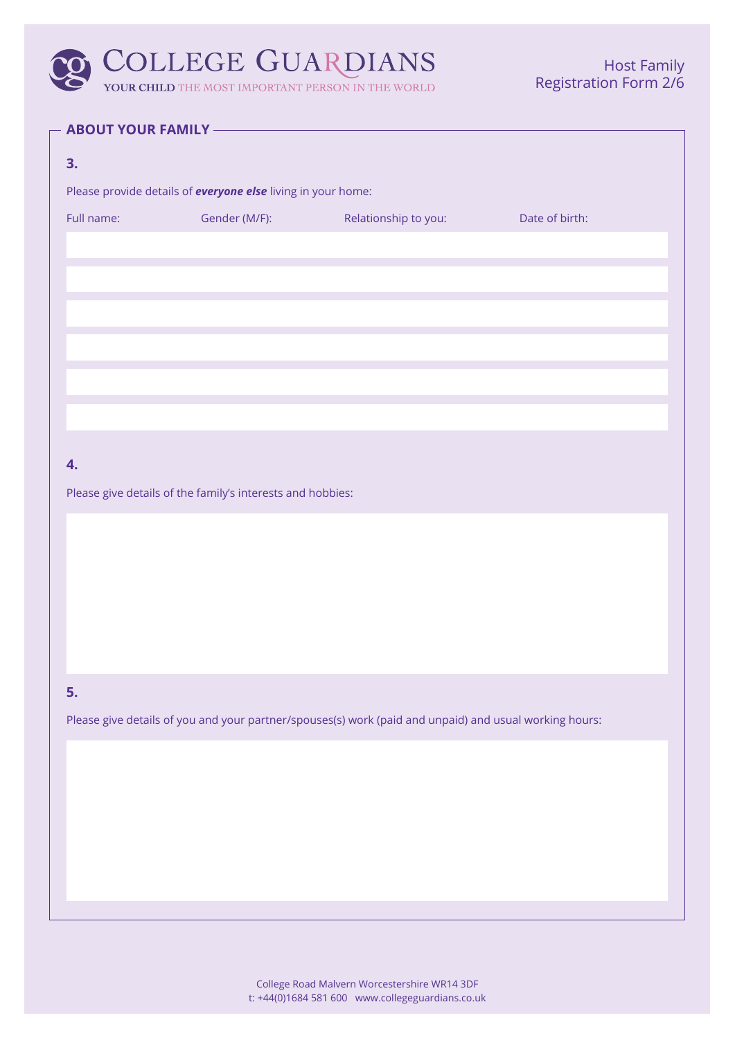# O COLLEGE GUARDIANS

**YOUR CHILD** THE MOST IMPORTANT PERSON IN THE WORLD

#### **ABOUT YOUR FAMILY -**

| 3.                                                                                                     |                                                                     |                      |                |  |
|--------------------------------------------------------------------------------------------------------|---------------------------------------------------------------------|----------------------|----------------|--|
|                                                                                                        | Please provide details of <b>everyone else</b> living in your home: |                      |                |  |
| Full name:                                                                                             | Gender (M/F):                                                       | Relationship to you: | Date of birth: |  |
|                                                                                                        |                                                                     |                      |                |  |
|                                                                                                        |                                                                     |                      |                |  |
|                                                                                                        |                                                                     |                      |                |  |
|                                                                                                        |                                                                     |                      |                |  |
|                                                                                                        |                                                                     |                      |                |  |
|                                                                                                        |                                                                     |                      |                |  |
|                                                                                                        |                                                                     |                      |                |  |
|                                                                                                        |                                                                     |                      |                |  |
| 4.                                                                                                     |                                                                     |                      |                |  |
|                                                                                                        | Please give details of the family's interests and hobbies:          |                      |                |  |
|                                                                                                        |                                                                     |                      |                |  |
|                                                                                                        |                                                                     |                      |                |  |
|                                                                                                        |                                                                     |                      |                |  |
|                                                                                                        |                                                                     |                      |                |  |
|                                                                                                        |                                                                     |                      |                |  |
|                                                                                                        |                                                                     |                      |                |  |
| 5.                                                                                                     |                                                                     |                      |                |  |
| Please give details of you and your partner/spouses(s) work (paid and unpaid) and usual working hours: |                                                                     |                      |                |  |
|                                                                                                        |                                                                     |                      |                |  |
|                                                                                                        |                                                                     |                      |                |  |
|                                                                                                        |                                                                     |                      |                |  |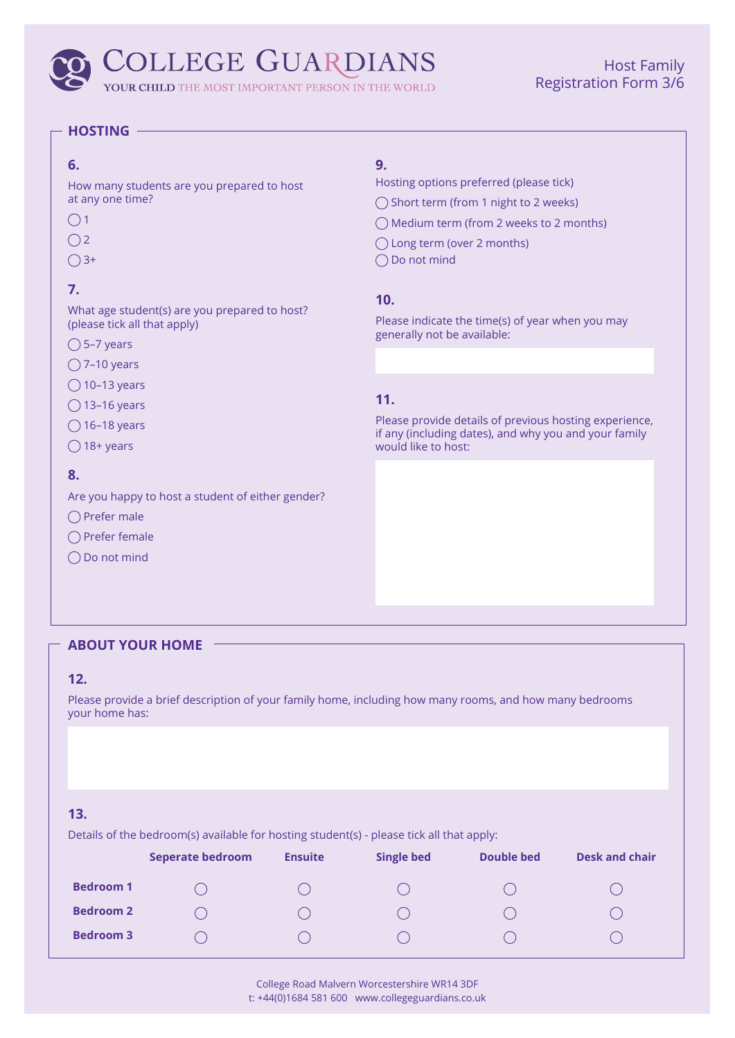## **COLLEGE GUARDIANS**

YOUR CHILD THE MOST IMPORTANT PERSON IN THE WORLD

## Host Family Registration Form 3/6

#### **HOSTING**

#### **6.**

How many students are you prepared to host at any one time?

 $\bigcirc$  1

- $O<sub>2</sub>$
- $\bigcirc$  3+

## **7.**

What age student(s) are you prepared to host? (please tick all that apply)

- $\bigcirc$  5–7 years
- $\bigcirc$  7–10 years
- $\bigcirc$  10–13 years
- $\bigcirc$  13–16 years
- $\bigcirc$  16–18 years
- $\bigcirc$  18+ years

#### **8.**

Are you happy to host a student of either gender?

- $\bigcap$  Prefer male
- $\bigcap$  Prefer female
- ◯ Do not mind

#### **9.**

- Hosting options preferred (please tick)
- ◯ Short term (from 1 night to 2 weeks)
- Medium term (from 2 weeks to 2 months)
- Long term (over 2 months)
- ◯ Do not mind

#### **10.**

Please indicate the time(s) of year when you may generally not be available:

### **11.**

Please provide details of previous hosting experience, if any (including dates), and why you and your family would like to host:

#### **ABOUT YOUR HOME**

#### **12.**

Please provide a brief description of your family home, including how many rooms, and how many bedrooms your home has:

#### **13.**

Details of the bedroom(s) available for hosting student(s) - please tick all that apply:

|                  | <b>Seperate bedroom</b> | <b>Ensuite</b> | <b>Single bed</b> | Double bed | <b>Desk and chair</b> |
|------------------|-------------------------|----------------|-------------------|------------|-----------------------|
| <b>Bedroom 1</b> |                         |                |                   |            |                       |
| <b>Bedroom 2</b> |                         |                |                   |            |                       |
| <b>Bedroom 3</b> |                         |                |                   |            |                       |

College Road Malvern Worcestershire WR14 3DF t: +44(0)1684 581 600 www.collegeguardians.co.uk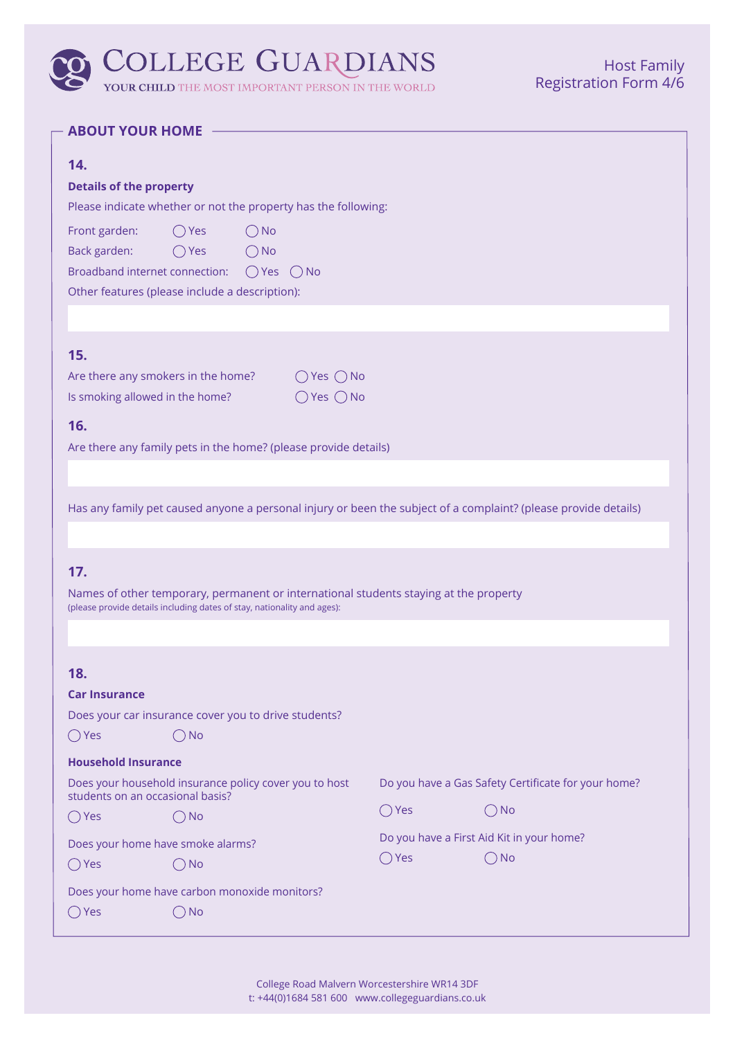# COLLEGE GUARDIANS

**YOUR CHILD** THE MOST IMPORTANT PERSON IN THE WORLD

### **ABOUT YOUR HOME**

| 14.<br><b>Details of the property</b><br>Please indicate whether or not the property has the following:                                                                                                              |                |                                                     |  |  |
|----------------------------------------------------------------------------------------------------------------------------------------------------------------------------------------------------------------------|----------------|-----------------------------------------------------|--|--|
| Front garden:<br>$\bigcirc$ Yes<br>$\bigcirc$ No<br>Back garden:<br>$\bigcirc$ Yes<br>$\bigcirc$ No<br>Broadband internet connection:<br>$\bigcirc$ Yes<br>$()$ No<br>Other features (please include a description): |                |                                                     |  |  |
|                                                                                                                                                                                                                      |                |                                                     |  |  |
| 15.<br>Are there any smokers in the home?<br>$\bigcirc$ Yes $\bigcirc$ No<br>Is smoking allowed in the home?<br>$\bigcap$ Yes $\bigcap$ No<br>16.                                                                    |                |                                                     |  |  |
| Are there any family pets in the home? (please provide details)                                                                                                                                                      |                |                                                     |  |  |
|                                                                                                                                                                                                                      |                |                                                     |  |  |
| Has any family pet caused anyone a personal injury or been the subject of a complaint? (please provide details)                                                                                                      |                |                                                     |  |  |
| 17.<br>Names of other temporary, permanent or international students staying at the property<br>(please provide details including dates of stay, nationality and ages):                                              |                |                                                     |  |  |
| 18.                                                                                                                                                                                                                  |                |                                                     |  |  |
| <b>Car Insurance</b>                                                                                                                                                                                                 |                |                                                     |  |  |
| Does your car insurance cover you to drive students?                                                                                                                                                                 |                |                                                     |  |  |
| <b>No</b><br>$()$ Yes                                                                                                                                                                                                |                |                                                     |  |  |
| <b>Household Insurance</b>                                                                                                                                                                                           |                |                                                     |  |  |
| Does your household insurance policy cover you to host<br>students on an occasional basis?                                                                                                                           |                | Do you have a Gas Safety Certificate for your home? |  |  |
| $\bigcirc$ Yes<br><b>No</b>                                                                                                                                                                                          | $\bigcirc$ Yes | <b>No</b>                                           |  |  |
| Do you have a First Aid Kit in your home?<br>Does your home have smoke alarms?                                                                                                                                       |                |                                                     |  |  |
| $\bigcirc$ Yes<br>No.                                                                                                                                                                                                | $\bigcirc$ Yes | <b>No</b><br>$\hspace{0.1in}$                       |  |  |
| Does your home have carbon monoxide monitors?                                                                                                                                                                        |                |                                                     |  |  |
| ) Yes<br>( ) No                                                                                                                                                                                                      |                |                                                     |  |  |

College Road Malvern Worcestershire WR14 3DF t: +44(0)1684 581 600 www.collegeguardians.co.uk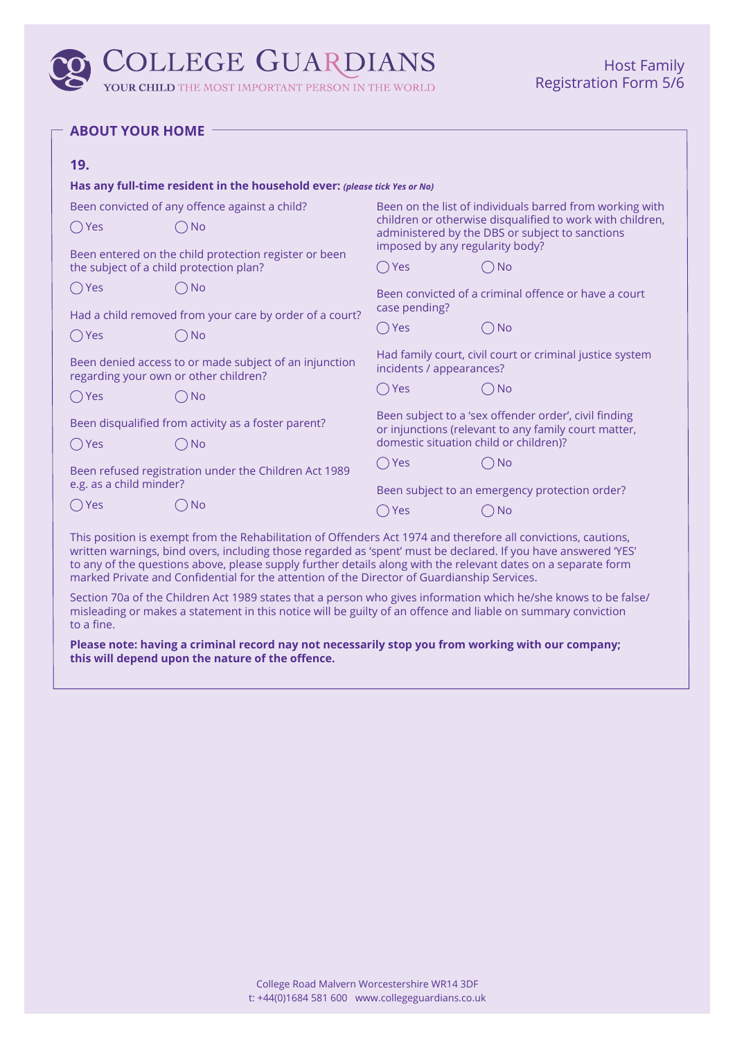## **COLLEGE GUARDIANS**

YOUR CHILD THE MOST IMPORTANT PERSON IN THE WORLD

|  |  |  | <b>ABOUT YOUR HOME</b> |  |
|--|--|--|------------------------|--|
|--|--|--|------------------------|--|

| 19.                                                                                                                                                                                                                              |                                                                           |                                                                                                                                                                          |                                                      |  |
|----------------------------------------------------------------------------------------------------------------------------------------------------------------------------------------------------------------------------------|---------------------------------------------------------------------------|--------------------------------------------------------------------------------------------------------------------------------------------------------------------------|------------------------------------------------------|--|
|                                                                                                                                                                                                                                  | Has any full-time resident in the household ever: (please tick Yes or No) |                                                                                                                                                                          |                                                      |  |
| Been convicted of any offence against a child?<br>$\bigcirc$ Yes<br>( ) No<br>Been entered on the child protection register or been<br>the subject of a child protection plan?                                                   |                                                                           | Been on the list of individuals barred from working with<br>children or otherwise disqualified to work with children,<br>administered by the DBS or subject to sanctions |                                                      |  |
|                                                                                                                                                                                                                                  |                                                                           | imposed by any regularity body?<br>$\bigcirc$ Yes                                                                                                                        | ◯ No                                                 |  |
| $\bigcirc$ Yes                                                                                                                                                                                                                   | $\bigcirc$ No                                                             | case pending?                                                                                                                                                            | Been convicted of a criminal offence or have a court |  |
| Had a child removed from your care by order of a court?                                                                                                                                                                          |                                                                           |                                                                                                                                                                          | <b>No</b>                                            |  |
| $\bigcirc$ Yes                                                                                                                                                                                                                   | $\bigcirc$ No                                                             | Yes                                                                                                                                                                      |                                                      |  |
| Been denied access to or made subject of an injunction<br>regarding your own or other children?                                                                                                                                  |                                                                           | Had family court, civil court or criminal justice system<br>incidents / appearances?                                                                                     |                                                      |  |
| $\bigcirc$ Yes                                                                                                                                                                                                                   | ( )No                                                                     | $\bigcirc$ Yes                                                                                                                                                           | ( ) No                                               |  |
| Been disqualified from activity as a foster parent?                                                                                                                                                                              |                                                                           | Been subject to a 'sex offender order', civil finding<br>or injunctions (relevant to any family court matter,                                                            |                                                      |  |
| $\bigcirc$ Yes                                                                                                                                                                                                                   | <b>No</b>                                                                 | domestic situation child or children)?                                                                                                                                   |                                                      |  |
| Been refused registration under the Children Act 1989                                                                                                                                                                            |                                                                           | $\bigcirc$ Yes                                                                                                                                                           | $\bigcap$ No                                         |  |
| e.g. as a child minder?                                                                                                                                                                                                          |                                                                           | Been subject to an emergency protection order?                                                                                                                           |                                                      |  |
| $\bigcirc$ Yes                                                                                                                                                                                                                   | ( ) No                                                                    | ( ) Yes                                                                                                                                                                  | $\bigcirc$ No                                        |  |
| This position is exempt from the Rehabilitation of Offenders Act 1974 and therefore all convictions, cautions,<br>written warnings, bind overs, including those regarded as 'spent' must be declared. If you have answered 'YES' |                                                                           |                                                                                                                                                                          |                                                      |  |

to any of the questions above, please supply further details along with the relevant dates on a separate form marked Private and Confidential for the attention of the Director of Guardianship Services.

Section 70a of the Children Act 1989 states that a person who gives information which he/she knows to be false/ misleading or makes a statement in this notice will be guilty of an offence and liable on summary conviction to a fine.

**Please note: having a criminal record nay not necessarily stop you from working with our company; this will depend upon the nature of the offence.**